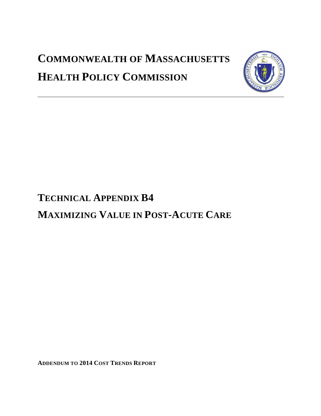# **COMMONWEALTH OF MASSACHUSETTS HEALTH POLICY COMMISSION**



# **TECHNICAL APPENDIX B4**

# **MAXIMIZING VALUE IN POST-ACUTE CARE**

**ADDENDUM TO 2014 COST TRENDS REPORT**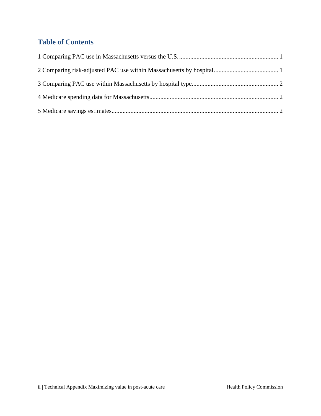## **Table of Contents**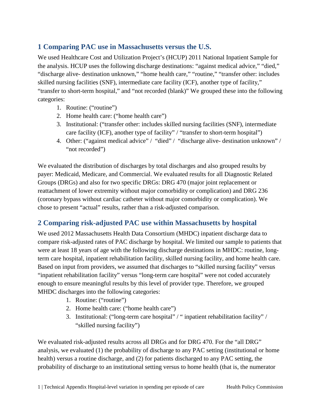#### <span id="page-2-0"></span>**1 Comparing PAC use in Massachusetts versus the U.S.**

We used Healthcare Cost and Utilization Project's (HCUP) 2011 National Inpatient Sample for the analysis. HCUP uses the following discharge destinations: "against medical advice," "died," "discharge alive- destination unknown," "home health care," "routine," "transfer other: includes skilled nursing facilities (SNF), intermediate care facility (ICF), another type of facility," "transfer to short-term hospital," and "not recorded (blank)" We grouped these into the following categories:

- 1. Routine: ("routine")
- 2. Home health care: ("home health care")
- 3. Institutional: ("transfer other: includes skilled nursing facilities (SNF), intermediate care facility (ICF), another type of facility" / "transfer to short-term hospital")
- 4. Other: ("against medical advice" / "died" / "discharge alive- destination unknown" / "not recorded")

We evaluated the distribution of discharges by total discharges and also grouped results by payer: Medicaid, Medicare, and Commercial. We evaluated results for all Diagnostic Related Groups (DRGs) and also for two specific DRGs: DRG 470 (major joint replacement or reattachment of lower extremity without major comorbidity or complication) and DRG 236 (coronary bypass without cardiac catheter without major comorbidity or complication). We chose to present "actual" results, rather than a risk-adjusted comparison.

### <span id="page-2-1"></span>**2 Comparing risk-adjusted PAC use within Massachusetts by hospital**

We used 2012 Massachusetts Health Data Consortium (MHDC) inpatient discharge data to compare risk-adjusted rates of PAC discharge by hospital. We limited our sample to patients that were at least 18 years of age with the following discharge destinations in MHDC: routine, longterm care hospital, inpatient rehabilitation facility, skilled nursing facility, and home health care. Based on input from providers, we assumed that discharges to "skilled nursing facility" versus "inpatient rehabilitation facility" versus "long-term care hospital" were not coded accurately enough to ensure meaningful results by this level of provider type. Therefore, we grouped MHDC discharges into the following categories:

- 1. Routine: ("routine")
- 2. Home health care: ("home health care")
- 3. Institutional: ("long-term care hospital" / " inpatient rehabilitation facility" / "skilled nursing facility")

We evaluated risk-adjusted results across all DRGs and for DRG 470. For the "all DRG" analysis, we evaluated (1) the probability of discharge to any PAC setting (institutional or home health) versus a routine discharge, and (2) for patients discharged to any PAC setting, the probability of discharge to an institutional setting versus to home health (that is, the numerator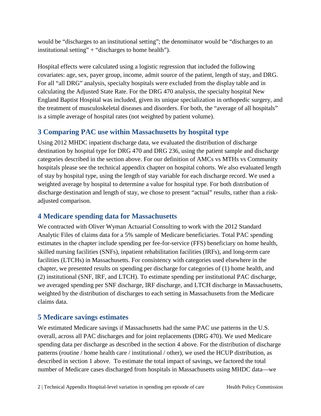would be "discharges to an institutional setting"; the denominator would be "discharges to an institutional setting" + "discharges to home health").

Hospital effects were calculated using a logistic regression that included the following covariates: age, sex, payer group, income, admit source of the patient, length of stay, and DRG. For all "all DRG" analysis, specialty hospitals were excluded from the display table and in calculating the Adjusted State Rate. For the DRG 470 analysis, the specialty hospital New England Baptist Hospital was included, given its unique specialization in orthopedic surgery, and the treatment of musculoskeletal diseases and disorders. For both, the "average of all hospitals" is a simple average of hospital rates (not weighted by patient volume).

#### <span id="page-3-0"></span>**3 Comparing PAC use within Massachusetts by hospital type**

Using 2012 MHDC inpatient discharge data, we evaluated the distribution of discharge destination by hospital type for DRG 470 and DRG 236, using the patient sample and discharge categories described in the section above. For our definition of AMCs vs MTHs vs Community hospitals please see the technical appendix chapter on hospital cohorts. We also evaluated length of stay by hospital type, using the length of stay variable for each discharge record. We used a weighted average by hospital to determine a value for hospital type. For both distribution of discharge destination and length of stay, we chose to present "actual" results, rather than a riskadjusted comparison.

#### <span id="page-3-1"></span>**4 Medicare spending data for Massachusetts**

We contracted with Oliver Wyman Actuarial Consulting to work with the 2012 Standard Analytic Files of claims data for a 5% sample of Medicare beneficiaries. Total PAC spending estimates in the chapter include spending per fee-for-service (FFS) beneficiary on home health, skilled nursing facilities (SNFs), inpatient rehabilitation facilities (IRFs), and long-term care facilities (LTCHs) in Massachusetts. For consistency with categories used elsewhere in the chapter, we presented results on spending per discharge for categories of (1) home health, and (2) institutional (SNF, IRF, and LTCH). To estimate spending per institutional PAC discharge, we averaged spending per SNF discharge, IRF discharge, and LTCH discharge in Massachusetts, weighted by the distribution of discharges to each setting in Massachusetts from the Medicare claims data.

### <span id="page-3-2"></span>**5 Medicare savings estimates**

We estimated Medicare savings if Massachusetts had the same PAC use patterns in the U.S. overall, across all PAC discharges and for joint replacements (DRG 470). We used Medicare spending data per discharge as described in the section 4 above. For the distribution of discharge patterns (routine / home health care / institutional / other), we used the HCUP distribution, as described in section 1 above. To estimate the total impact of savings, we factored the total number of Medicare cases discharged from hospitals in Massachusetts using MHDC data—we